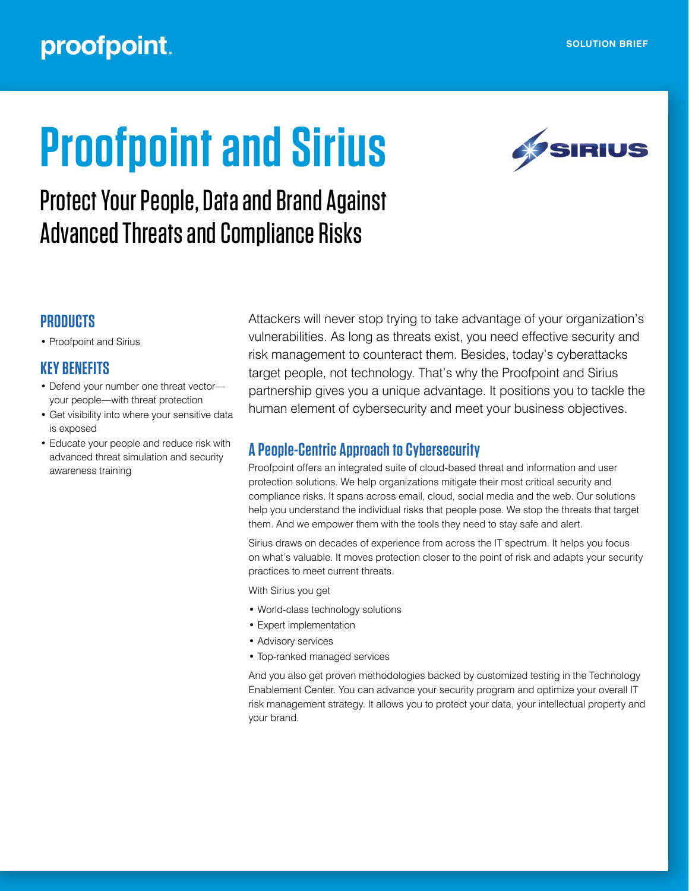# proofpoint.

# **Proofpoint and Sirius**



# Protect Your People, Data and Brand Against Advanced Threats and Compliance Risks

# **PRODUCTS**

• Proofpoint and Sirius

## **KEY BENEFITS**

- Defend your number one threat vector your people—with threat protection
- Get visibility into where your sensitive data is exposed
- Educate your people and reduce risk with advanced threat simulation and security awareness training

Attackers will never stop trying to take advantage of your organization's vulnerabilities. As long as threats exist, you need effective security and risk management to counteract them. Besides, today's cyberattacks target people, not technology. That's why the Proofpoint and Sirius partnership gives you a unique advantage. It positions you to tackle the human element of cybersecurity and meet your business objectives.

# **A People-Centric Approach to Cybersecurity**

Proofpoint offers an integrated suite of cloud-based threat and information and user protection solutions. We help organizations mitigate their most critical security and compliance risks. It spans across email, cloud, social media and the web. Our solutions help you understand the individual risks that people pose. We stop the threats that target them. And we empower them with the tools they need to stay safe and alert.

Sirius draws on decades of experience from across the IT spectrum. It helps you focus on what's valuable. It moves protection closer to the point of risk and adapts your security practices to meet current threats.

With Sirius you get

- World-class technology solutions
- Expert implementation
- Advisory services
- Top-ranked managed services

And you also get proven methodologies backed by customized testing in the Technology Enablement Center. You can advance your security program and optimize your overall IT risk management strategy. It allows you to protect your data, your intellectual property and your brand.